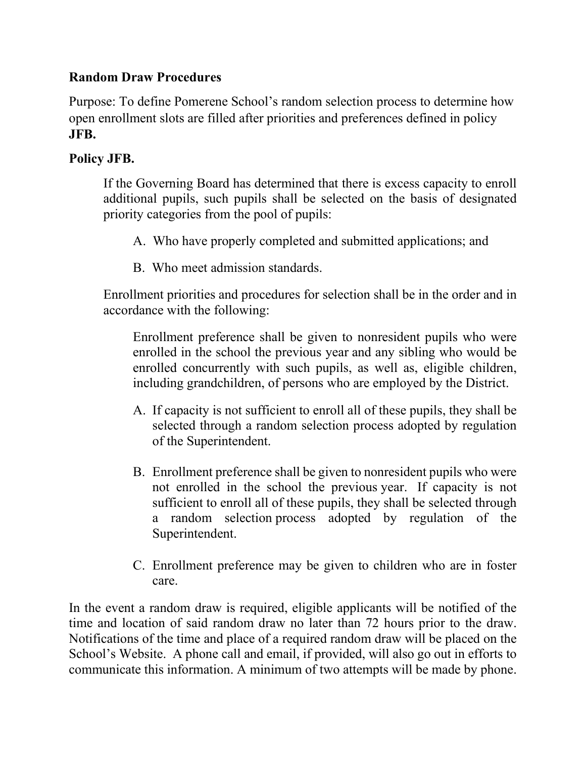## **Random Draw Procedures**

Purpose: To define Pomerene School's random selection process to determine how open enrollment slots are filled after priorities and preferences defined in policy **JFB.**

## **Policy JFB.**

If the Governing Board has determined that there is excess capacity to enroll additional pupils, such pupils shall be selected on the basis of designated priority categories from the pool of pupils:

- A. Who have properly completed and submitted applications; and
- B. Who meet admission standards.

Enrollment priorities and procedures for selection shall be in the order and in accordance with the following:

Enrollment preference shall be given to nonresident pupils who were enrolled in the school the previous year and any sibling who would be enrolled concurrently with such pupils, as well as, eligible children, including grandchildren, of persons who are employed by the District.

- A. If capacity is not sufficient to enroll all of these pupils, they shall be selected through a random selection process adopted by regulation of the Superintendent.
- B. Enrollment preference shall be given to nonresident pupils who were not enrolled in the school the previous year. If capacity is not sufficient to enroll all of these pupils, they shall be selected through a random selection process adopted by regulation of the Superintendent.
- C. Enrollment preference may be given to children who are in foster care.

In the event a random draw is required, eligible applicants will be notified of the time and location of said random draw no later than 72 hours prior to the draw. Notifications of the time and place of a required random draw will be placed on the School's Website. A phone call and email, if provided, will also go out in efforts to communicate this information. A minimum of two attempts will be made by phone.